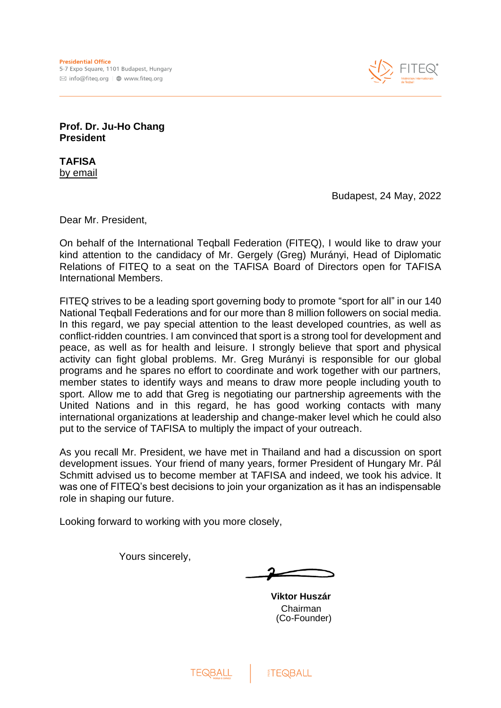

**Prof. Dr. Ju-Ho Chang President**

**TAFISA** by email

Budapest, 24 May, 2022

Dear Mr. President,

On behalf of the International Teqball Federation (FITEQ), I would like to draw your kind attention to the candidacy of Mr. Gergely (Greg) Murányi, Head of Diplomatic Relations of FITEQ to a seat on the TAFISA Board of Directors open for TAFISA International Members.

FITEQ strives to be a leading sport governing body to promote "sport for all" in our 140 National Teqball Federations and for our more than 8 million followers on social media. In this regard, we pay special attention to the least developed countries, as well as conflict-ridden countries. I am convinced that sport is a strong tool for development and peace, as well as for health and leisure. I strongly believe that sport and physical activity can fight global problems. Mr. Greg Murányi is responsible for our global programs and he spares no effort to coordinate and work together with our partners, member states to identify ways and means to draw more people including youth to sport. Allow me to add that Greg is negotiating our partnership agreements with the United Nations and in this regard, he has good working contacts with many international organizations at leadership and change-maker level which he could also put to the service of TAFISA to multiply the impact of your outreach.

As you recall Mr. President, we have met in Thailand and had a discussion on sport development issues. Your friend of many years, former President of Hungary Mr. Pál Schmitt advised us to become member at TAFISA and indeed, we took his advice. It was one of FITEQ's best decisions to join your organization as it has an indispensable role in shaping our future.

Looking forward to working with you more closely,

Yours sincerely,

**Viktor Huszár** Chairman (Co-Founder)

**TEQBALL**